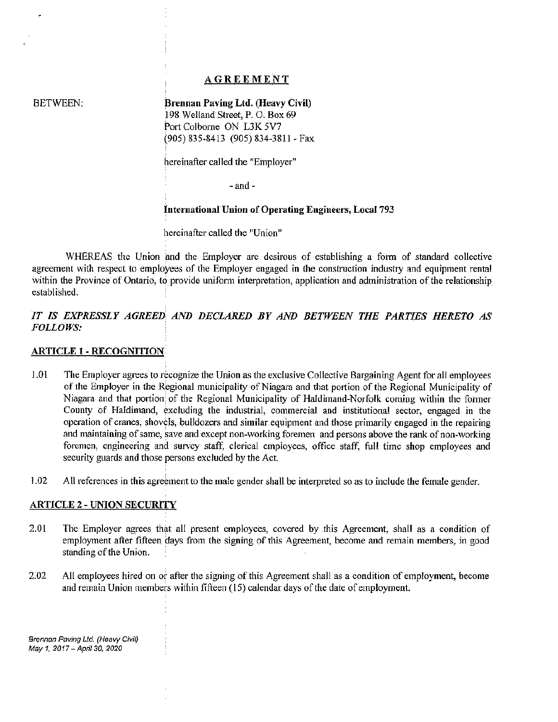## **AGREEMENT**

BETWEEN:

ż

Brennan Paving Ltd. (Heavy Civil) I 98 Welland Street, P. 0. Box 69 Port Colborne ON L3K 5V7 (905) 835-8413 (905) 834-3811 -Fax

hereinafter called the "Employer"

-and-

#### International Union of Operating Engineers, Local 793

hereinafter called the "Union"

WHEREAS the Union and the Employer are desirous of establishing a form of standard collective agreement with respect to employees of the Employer engaged in the construction industry and equipment rental within the Province of Ontario, to provide uniform interpretation, application and administration of the relationship established.

# *IT IS EXPRESSLY AGREED AND DECLARED BY AND BETWEEN THE PARTIES HERETO AS FOLLOWS:*

#### ARTICLE 1- RECOGNITION

- 1.01 The Employer agrees to recognize the Union as the exclusive Collective Bargaining Agent for all employees of the Employer in the Regional municipality of Niagara and that portion of the Regional Municipality of Niagara and that portion of the Regional Municipality of Haldimand-Norfolk coming within the former County of Haldimand, excluding the industrial, commercial and institutional sector, engaged in the operation of cranes, shovels, bulldozers and similar equipment and those primarily engaged in the repairing and maintaining of same, save and except non-working foremen and persons above the rank of non-working foremen, engineering and survey staff, clerical employees, office staff, full time shop employees and security guards and those persons excluded by the Act.
- 1.02 All references in this agreement to the male gender shall be interpreted so as to include the female gender.

#### ARTICLE 2 - UNION SECURITY

- 2.01 The Employer agrees that all present employees, covered by this Agreement, shall as a condition of employment after fifteen days from the signing of this Agreement, become and remain members, in good standing of the Union.
- 2.02 All employees hired on or after the signing of this Agreement shall as a condition of employment, become and remain Union members within fifteen (15) calendar days of the date of employment.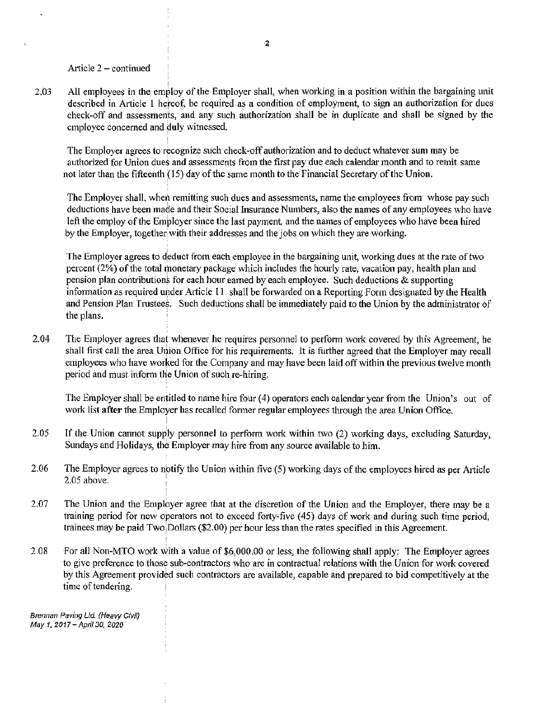Article  $2$  – continued

2.03 All employees in the employ of the Employer shall, when working in a position within the bargaining unit described in Article 1 hereof, be required as a condition of employment, to sign an authorization for dues check-off and assessments, and any such authorization shall be in duplicate and shall be signed by the employee concerned and duly witnessed.

The Employer agrees to recognize such check-off authorization and to deduct whatever sum may be authorized for Union dues and assessments from the first pay due each calendar month and to remit same not later than the fifteenth (15) day of the same month to the Financial Secretary of the Union.

The Employer shall, when remitting such dues and assessments, name the employees from whose pay such deductions have been made and their Social Insurance Numbers, also the names of any employees who have left the employ of the Employer since the last payment, and the names of employees who have been hired by the Employer, together with their addresses and the jobs on which they are working.

The Employer agrees to deduct from each employee in the bargaining unit, working dues at the rate of two percent (2%) of the total monetary package which includes the hourly rate, vacation pay, health plan and pension plan contributions for each hour earned by each employee. Such deductions & supporting information as required under Article 11 shall be forwarded on a Reporting Form designated by the Health and Pension Plan Trustees. Such deductions shall be immediately paid to the Union by the administrator of the plans.

2.04 The Employer agrees that whenever he requires personnel to perform work covered by this Agreement, he shall first call the area Union Office for his requirements. It is further agreed that the Employer may recall employees who have worked for the Company and may have been laid off within the previous twelve month period and must inform the Union of such re-hiring.

The Employer shall be entitled to name hire four  $(4)$  operators each calendar year from the Union's out of work list after the Employer has recalled fonner regular employees through the area Union Office.

- 2.05 If the Union cannot supply personnel to perform work within two (2) working days, excluding Saturday, Sundays and Holidays, the Employer may hire from any source available to him.
- 2.06 The Employer agrees to notify the Union within five (5) working days of the employees hired as per Article 2.05 above.
- 2.07 The Union and the Employer agree that at the discretion of the Union and the Employer, there may be a training period for new operators not to exceed forty-five (45) days of work and during such time period, trainees may be paid Two. Dollars (\$2.00) per hour less than the rates specified in this Agreement.
- 2.08 For all Non-MTO work with a value of \$6,000.00 or less, the following shall apply: The Employer agrees to give preference to those sub-contractors who are in contractual relations with the Union for work covered by this Agreement provided such contractors are available, capable and prepared to bid competitively at the time of tendering.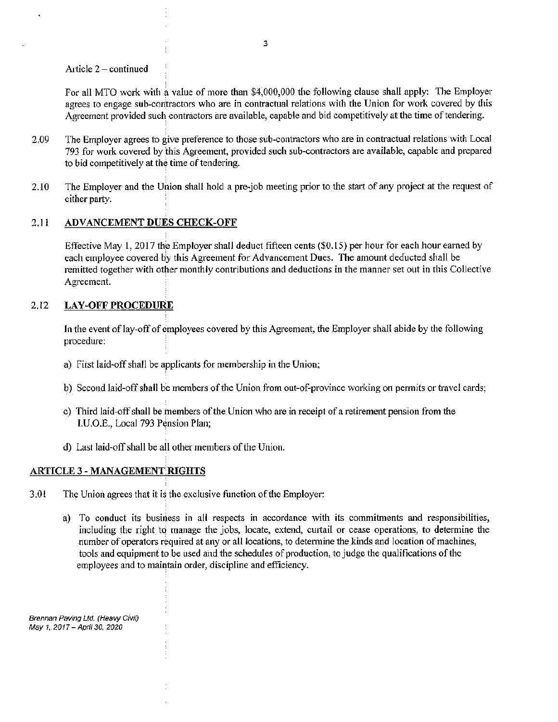Article  $2$  – continued

For all MTO work with a value of more than \$4,000,000 the following clause shall apply: The Employer agrees to engage sub-contractors who are in contractual relations with the Union for work covered by this Agreement provided such contractors are available, capable and bid competitively at the time of tendering.

- 2.09 The Employer agrees to give preference to those sub-contractors who are in contractual relations with Local 793 for work covered by this Agreement, provided such sub-contractors are available, capable and prepared to bid competitively at the time of tendering.
- 2.10 The Employer and the Union shall hold a pre-job meeting prior to the start of any project at the request of either party.

# 2.11 ADVANCEMENT DUES CHECK-OFF

Effective May  $1, 2017$  the Employer shall deduct fifteen cents (\$0.15) per hour for each hour earned by each employee covered by this Agreement for Advancement Dues. The amount deducted shall be remitted together with other monthly contributions and deductions in the manner set out in this Collective Agreement.

## 2.12 LAY-OFF PROCEDURE

In the event of lay-off of employees covered by this Agreement, the Employer shall abide by the following procedure:

- a) First laid-off shall be applicants for membership in the Union;
- b) Second laid-off shall be members of the Union from out-of-province working on permits or travel cards;
- c) Third laid-off shall be members of the Union \Vho are in receipt of a retirement pension from the l.U.O.E., Local 793 Pension Plan;
- d) I.ast laid-off shall be all other members of the Union.

# ARTICLE 3 - MANAGEMENT RIGHTS

- 3.0l The Union agrees that it is the exclusive function of the Employer:
	- a) To conduct its business in all respects in accordance with its commitments and responsibilities, including the right to manage the jobs, locate, extend, curtail or cease operations, to determine the number of operators required at any or all locations, to detennine the kinds and location of machines, tools and equipment to be used and the schedules of production, to judge the qualifications of the ernployees and to maintain order, discipline and efficiency.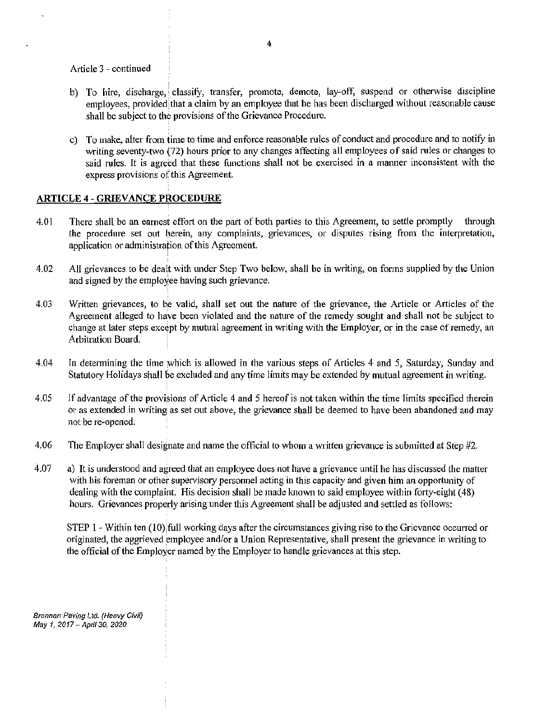Article 3 - continued

- b) To hire, discharge, classify, transfer, promote, demote, lay-off, suspend or otherwise discipline employees, provided that a claim by an employee that he has been discharged without reasonable cause shall be subject to the provisions of the Grievance Procedure.
- c) To 1nake, alter from time to time and enforce reasonable rules of conduct and procedure and to notify in writing seventy-two (72) hours prior to any changes affecting all employees of said rules or changes to said rules. It is agreed that these functions shall not be exercised in a manner inconsistent with the express provisions of this Agreement.

## ARTICLE 4 - GRIEVANCE PROCEDURE

- 4.01 There shall be an earnest effort on the part of both parties to this Agreement, to settle promptly through the procedure set out herein, any complaints, grievances, or disputes rising from the interpretation, application or administration of this Agreement.
- 4.02 All grievances to be dealt with under Step Two below, shall be in writing, on forms supplied by the Union and signed by the employee having such grievance.
- 4.03 Written grievances, to be valid, shall set out the nature of the grievance, the Article or Articles of the Agreement alleged to have been violated and the nature of the remedy sought and shall not be subject to change at later steps except by mutual agreement in writing with the Employer, or in the case of remedy, an Arbitration Board.
- 4.04 In detennining the time which is allowed in the various steps of Articles 4 and 5, Saturday, Sunday and Statutory Holidays shall be excluded and any time limits may be extended by mutual agreement in writing.
- 4.05 If advantage of the provisions of Article 4 and 5 hereof is not taken within the time limits specified therein or as extended in writing as set out above, the grievance shall be deemed to have been abandoned and may not be re~opened.
- 4.06 The Employer shall designate and name the official to whom a written grievance is submitted at Step  $#2$ .
- 4.07 a) It is understood and agreed that an employee does not have a grievance until he has discussed the matter with his foreman or other supervisory personnel acting in this capacity and given him an opportunity of dealing with the complaint. His decision shall be made known to said employee within forty-eight (48) hours. Grievances properly arising under this Agreement shall be adjusted and settled as follows:

STEP 1 - Within ten (10) full working days after the circumstances giving rise to the Grievance occurred or originated, the aggrieved employee and/or a Union Representative, shall present the grievance in writing to the official of the Employer named by the Employer to handle grievances at this step.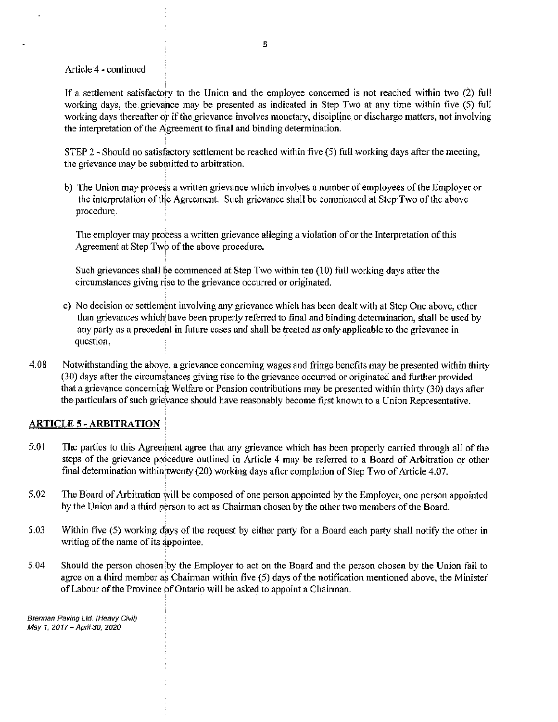#### Article 4 - continued

If a settlement satisfactory to the Union and the employee concerned is not reached within two  $(2)$  full working days, the grievance may be presented as indicated in Step Two at any time within five (5) full working days thereafter or if the grievance involves monetary, discipline or discharge matters, not involving the interpretation of the Agreement to final and binding determination.

STEP 2 - Should no satisfactory settlement be reached within five  $(5)$  full working days after the meeting, the grievance may be submitted to arbitration.

b) The Union may process a written grievance which involves a number of employees of the Employer or the interpretation of the Agreement. Such grievance shall be commenced at Step Two of the above procedure.

The employer may process a written grievance alleging a violation of or the Interpretation of this Agreement at Step Two of the above procedure.

Such grievances shall be commenced at Step Two within ten  $(10)$  full working days after the circuinstances giving rise to the grievance occurred or originated.

- c) No decision or settlement involving any grievance which has been dealt with at Step One above, other than grievances which have been properly referred to final and binding determination, shall be used by any party as a precedent in future cases and shall be treated as only applicable *to* the grievance in question.
- 4.08 Notwithstanding the above, a grievance concerning wages and fringe benefits may be presented within thirty (30) days after the circumstances giving rise to the grievance occurred or originated and further provided that a grievance concerning Welfare or Pension contributions may be presented within thirty (30) days after the particulars of such grievance should have reasonably become first known to a Union Representative.

#### ARTICLE 5 - ARBITRATION

- 5.01 The parties to this Agreement agree that any grievance which has been properly carried through all of the steps of the grievance procedure outlined in Article 4 may be referred to a Board of Arbitration or other final determination within twenty (20) working days after completion of Step Two of Article 4.07.
- 5.02 The Board of Arbitration will be composed of one person appointed by the Employer, one person appointed by the Union and a third person to act as Chairman chosen by the other two members of the Board.
- 5.03 Within five (5) working days of the request by either party for a Board each party shall notify the other in writing of the name of its appointee.
- 5.04 Should the person chosen by the Employer to act on the Board and the person chosen by the Union fail to agree on a third member as Chainnan within five (5) days of the notification mentioned above, the Minister of Labour of the Province of Ontario will be asked to appoint a Chainnan.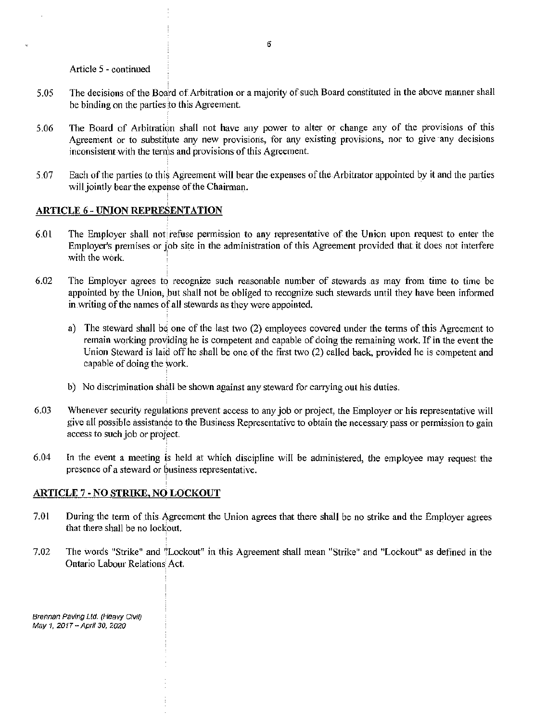Article *5* - continued

- 5.05 The decisions of the Board of Arbitration or a majority of such Board constituted in the above manner shall be binding on the parties to this Agreement.
- 5.06 The Board of Arbitration shall not have any power to alter or change any of the provisions of this Agreement or to substitute any new provisions, for any existing provisions, nor to give any decisions inconsistent with the terms and provisions of this Agreement.
- 5.07 Each of the parties to this Agreement will bear the expenses of the Arbitrator appointed by it and the parties will jointly bear the expense of the Chairman.

## ARTICLE 6 - UNION REPRESENTATION

- 6.0 l The Employer shall not refuse permission to any representative of the Union upon request to enter the Employer's premises or job site in the administration of this Agreement provided that it does not interfere with the work.
- 6.02 The Employer agrees to recognize such reasonable number of stewards as may from time to time be appointed by the Union, but shall not be obliged to recognize such stewards until they have been informed in writing of the names of all stewards as they were appointed.
	- a) The steward shall be one of the last two (2) employees covered under the tenns of this Agreement to remain working providing he is competent and capable of doing the remaining work. If in the event the Union Steward is laid off he shall be one of the first two (2) called back, provided he is competent and capable of doing the Work.
	- b) No discrimination shall be shown against any steward for carrying out his duties.
- 6.03 Whenever security regulations prevent access to any job or project, the Employer or his representative will give all possible assistance to the Business Representative to obtain the necessa1y pass or permission to gain access to such job or project.
- 6.04 In the event a meeting is held at which discipline will be administered, the employee may request the presence of a steward or business representative.

# ARTICLE 7 -NO STRIKE, NO LOCKOUT

- 7.01 During the term of this Agreement the Union agrees that there shall be no strike and the Employer agrees that there shall be no lockout.
- 7.02 The words "Strike" and "Lockout" in this Agreement shall mean "Strike" and "Lockout" as defined in the Ontario Labour Relations Act.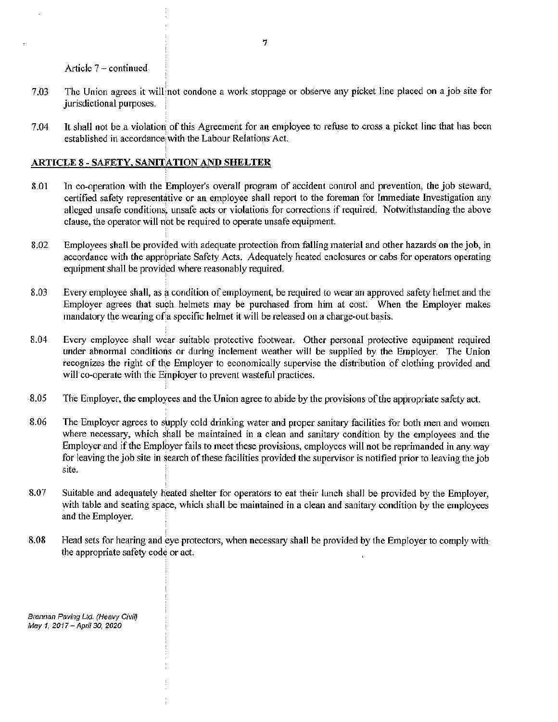Article 7 ~ continued

- 7.03 The Union agrees it will not condone a work stoppage or observe any picket line placed on a job site for jurisdictional purposes.
- 7.04 It shall not be a violation of this Agreement for an employee to refuse to cross a picket line that has been established in accordance with the Labour Relations Act.

# ARTICLE 8 - SAFETY, SANITATION AND SHELTER

- 8.01 In co-operation with the Employer's overall program of accident control and prevention, the job steward, certified safety representative or an employee shall report to the foreman for Immediate Investigation any alleged unsafe conditions, unsafe acts or violations for corrections if required. Notwithstanding the above clause, the operator will not be required to operate unsafe equipment.
- 8.02 Employees shall be provided with adequate protection from falling material and other hazards on the job, in accordance with the appropriate Safety Acts. Adequately heated enclosures or cabs for operators operating equipment shall be provided where reasonably required.
- 8.03 Every employee shall, as a condition of employment, be required to wear an approved safety helmet and the Employer agrees that such helmets may be purchased from him at cost. When the Employer makes mandatory the wearing of a specific helmet it will be released on a charge-out basis.
- 8.04 Every employee shall wear suitable protective footwear. Other personal protective equipment required under abnormal conditions or during inclement weather will be supplied by the Employer. The Union recognizes the right of the Employer to economically supervise the distribution of clothing provided and will co-operate with the Employer to prevent wasteful practices.
- 8.05 The Employer, the employees and the Union agree to abide by the provisions of the appropriate safety act.
- 8.06 The Employer agrees to supply cold drinking water and proper sanitary facilities for both men and women where necessary, which shall be maintained in a clean and sanitary condition by the employees and the Employer and if the Employer fails to meet these provisions, employees will not be reprimanded in any way for leaving the job site in search of these facilities provided the supervisor is notified prior to leaving the job site.
- 8.07 Suitable and adequately heated shelter for operators to eat their lunch shall be provided by the Employer, with table and seating space, which shall be maintained in a clean and sanitary condition by the employees and the Employer.
- 8.08 Head sets for hearing and eye protectors, when necessary shall be provided by the Employer to comply with the appropriate safety code or act.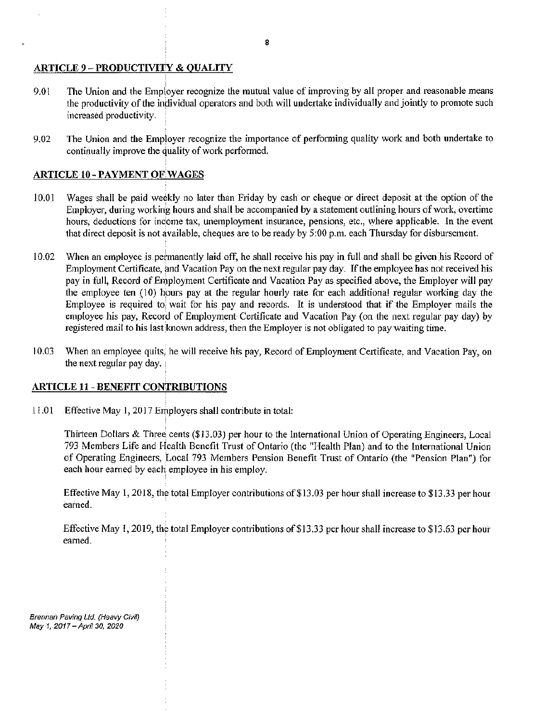## ARTICLE 9 - PRODUCTIVITY & QUALITY

- 9.01 The Union and the Employer recognize the mutual value of improving by all proper and reasonable means the productivity of the individual operators and both will undertake individually and jointly to promote such increased productivity.
- 9.02 The Union and the Employer recognize the importance of performing quality work and both undertake to continually improve the quality of work performed.

## ARTICLE 10 - PAYMENT OF WAGES

- 10.01 Wages shall be paid weekly no later than Friday by cash or cheque or direct deposit at the option of the Employer, during working hours and shall be accompanied by a statement outlining hours of work, overtime hours, deductions for income tax, unemployment insurance, pensions, etc., where applicable. In the event that direct deposit is not available, cheques are to be ready by 5:00 p.m. each Thursday for disbursement.
- 10.02 When an employee is permanently laid off, he shall receive his pay in full and shall be given his Record of Employment Certificate, and Vacation Pay on the next regular pay day. If the employee has not received his pay in full, Record of Employment Certificate and Vacation Pay as specified above, the Employer will pay the employee ten  $(10)$  hours pay at the regular hourly rate for each additional regular working day the Employee is required to wait for his pay and records. It is understood that if the Employer mails the employee his pay, Record of Employment Certificate and Vacation Pay (on the next regular pay day) by registered mail to his last known address, then the Employer is not obligated to pay waiting time.
- 10.03 When an employee quits, he will receive his pay, Record of Employment Certificate, and Vacation Pay, on the next regular pay day.

# ARTICLE II - BENEFIT CONTRIBUTIONS

I 1.01 Effective May 1, 2017 Employers shall contribute in total:

Thirteen Dollars & Three cents (\$13 .03) per hour to the International Union of Operating Engineers, Local 793 Members Life and Health Benefit Trust of Ontario (the "Health Plan) and to the International Union of Operating Engineers, Local 793 Members Pension Benefit Trust of Ontario (the "Pension Plan") for each hour earned by each employee in his employ.

Effective May 1, 2018, the total Employer contributions of\$13.03 per hour shall increase to \$13.33 per hour earned.

Effective May 1, 2019, the total Employer contributions of \$13.33 per hour shall increase to \$13.63 per hour earned.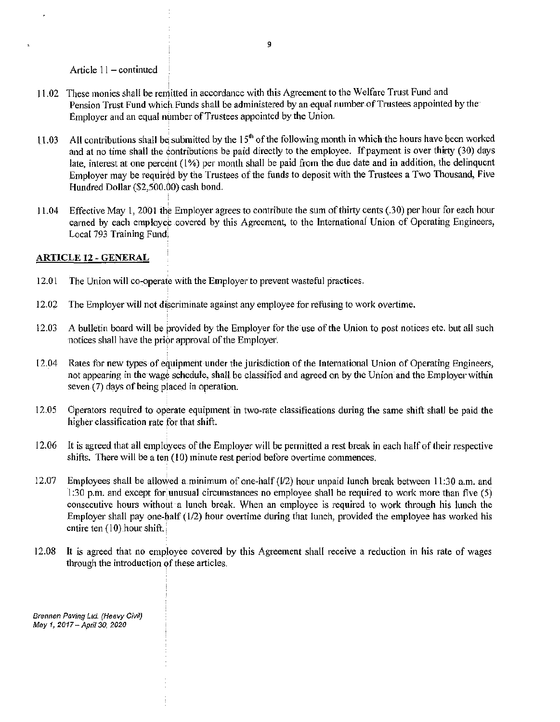Article  $11 -$ continued

- 11.02 These monies shall be remitted in accordance with this Agreement to the Welfare Trust Fund and Pension Trust Fund which Funds shall be administered by an equal number of Trustees appointed by the Employer and an equal number of Trustees appointed by the Union.
- 11.03 All contributions shall be submitted by the  $15<sup>th</sup>$  of the following month in which the hours have been worked and at no time shall the contributions be paid directly to the employee. If payment is over thirty (30) days late, interest at one percent  $(1\%)$  per month shall be paid from the due date and in addition, the delinquent Employer may be required by the Trustees of the funds to deposit with the Trustees a Two Thousand, Five I-Iundred Dollar (\$2,500.00) cash bond.
- 11.04 Effective May 1, 2001 the Employer agrees to contribute the sum of thirty cents (.30) per hour for each hour earned by each employee covered by this Agreement, to the International Union of Operating Engineers, Local 793 Training Fund.

### ARTICLE 12 - GENERAL

- 12.01 The Union will co-operate with the Employer to prevent wasteful practices.
- 12.02 The Employer will not discriminate against any employee for refusing to work overtime.
- 12.03 A bulletin board will be provided by the Employer for the use of the Union to post notices etc. but all such notices shall have the prior approval of the Employer.
- 12.04 Rates for new types of equipment under the jurisdiction of the International Union of Operating Engineers, not appearing in the wage schedule, shall be classified and agreed on by the Union and the Employer within seven (7) days of being placed in operation.
- 12.05 Operators required to operate equipment in two-rate classifications during the same shift shall be paid the higher classification rate for that shift.
- 12.06 It is agreed that all employees of the Employer will be permitted a rest break in each half of their respective shifts. There will be a ten  $(10)$  minute rest period before overtime commences.
- 12.07 Employees shall be allowed a minimum of one-half  $(V2)$  hour unpaid lunch break between 11:30 a.m. and 1:30 p.m. and except for unusual circumstances no employee shall be required to work more than five  $(5)$ consecutive hours without a lunch break. When an employee is required to work through his lunch the Employer shall pay one-half  $(1/2)$  hour overtime during that lunch, provided the employee has worked his entire ten (10) hour shift
- 12.08 It is agreed that no employee covered by this Agreement shall receive a reduction in his rate of wages through the introduction of these articles.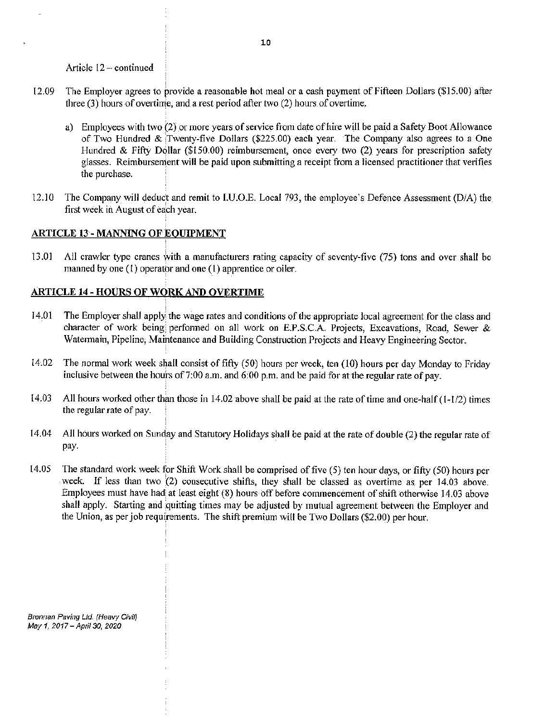Article 12 - continued

- 12.09 The Employer agrees to provide a reasonable hot meal or a cash payment of Fifteen Dollars (\$15.00) after three  $(3)$  hours of overtime, and a rest period after two  $(2)$  hours of overtime.
	- a) Employees with two (2) or more years of service from date of hire will be paid a Safety Boot Allowance of Two Hundred & Twenty-five Dollars (\$225.00) each year. The Company also agrees to a One Hundred & Fifty Dollar (\$150.00) reimbursement, once every two (2) years for prescription safety glasses. Reimbursement will be paid upon submitting a receipt from a licensed practitioner that verifies the purchase.
- 12.10 The Company will deduct and remit to I.U.O.E. Local 793, the employee's Defence Assessment (D/A) the first week in August of each year.

## ARTICLE 13 - MANNING OF EQUIPMENT

13.01 All crawler type cranes with a manufacturers rating capacity of seventy-five (75) tons and over shall be manned by one (l) operator and one (1) apprentice or oiler.

## ARTICLE 14 - HOURS OF WORK AND OVERTIME

- 14.01 The Employer shall apply the wage rates and conditions of the appropriate local agreement for the class and character of work being performed on all work on E.P.S.C.A. Projects, Excavations, Road, Sewer & Watermain, Pipeline, Maintenance and Building Construction Projects and Heavy Engineering Sector.
- 14.02 The normal work week shall consist of fifty (50) hours per week, ten (10) hours per day Monday to Friday inclusive between the hours of 7:00 a.m. and  $6:00$  p.m. and be paid for at the regular rate of pay.
- 14.03 All hours worked other than those in 14.02 above shall be paid at the rate of time and one-half ( 1-1/2) times the regular rate of pay.
- 14.04 All hours worked on Sunday and Statutory Holidays shall be paid at the rate of double (2) the regular rate of pay.
- 14.05 The standard work week for Shift Work shall be comprised of five (5) ten hour days, or fifty (50) hours per week. If less than two (2) consecutive shifts, they shall be classed as overtime as per 14.03 above. Employees must have had at least eight (8) hours off before commencement of shift otherwise 14.03 above shall apply. Starting and quitting times may be adjusted by mutual agreement between the Employer and the Union, as per job requirements. The shift premium will be Two Dollars (\$2.00) per hour.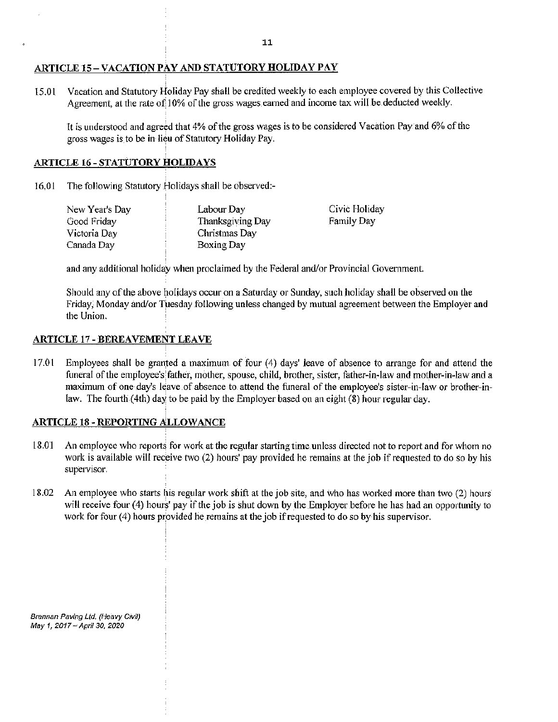## ARTICLE 15-VACATIONPAY AND STATUTORY HOLIDAY PAY

15.01 Vacation and Statutory Holiday Pay shall be credited weekly to each employee covered by this Collective Agreement, at the rate of  $10\%$  of the gross wages earned and income tax will be deducted weekly.

It is understood and agreed that 4% of the gross wages is to be considered Vacation Pay and 6% of the gross wages is to be in lieu of Statutory Holiday Pay.

## ARTICLE 16-STATUTORY HOLIDAYS

16.01 The following Statutory Holidays shall be observed:-

| New Year's Day | Labour Day       | Civic Holiday     |
|----------------|------------------|-------------------|
| Good Friday    | Thanksgiving Day | <b>Family Day</b> |
| Victoria Day   | Christmas Day    |                   |
| Canada Day     | Boxing Day       |                   |

and any additional holiday when proclaimed by the Federal and/or Provincial Government.

Should any of the above holidays occur on a Saturday or Sunday, such holiday shall be observed on the Friday, Monday and/or Tuesday following unless changed by mutual agreement between the Employer and the Union.

### ARTICLE 17 - BEREAVEMENT LEAVE

17.01 Employees shall be granted a maximum of four (4) days' leave of absence to arrange for and attend the funeral of the employee's father, mother, spouse, child, brother, sister, father-in-law and mother-in-law and a maximum of one day's leave of absence to attend the funeral of the employee's sister-in-law or brother-inlaw. The fourth  $(4th)$  day to be paid by the Employer based on an eight  $(8)$  hour regular day.

## ARTICLE 18 - REPORTING ALLOWANCE

- 18.01 An employee who reports for work at the regular starting time unless directed not to report and for whom no work is available will receive two (2) hours' pay provided he remains at the job if requested to do so by his supervisor.
- 18.02 An employee who starts his regular work shift at the job site, and who has worked more than two (2) hours will receive four (4) hours' pay if the job is shut down by the Employer before he has had an opportunity to work for four  $(4)$  hours provided he remains at the job if requested to do so by his supervisor.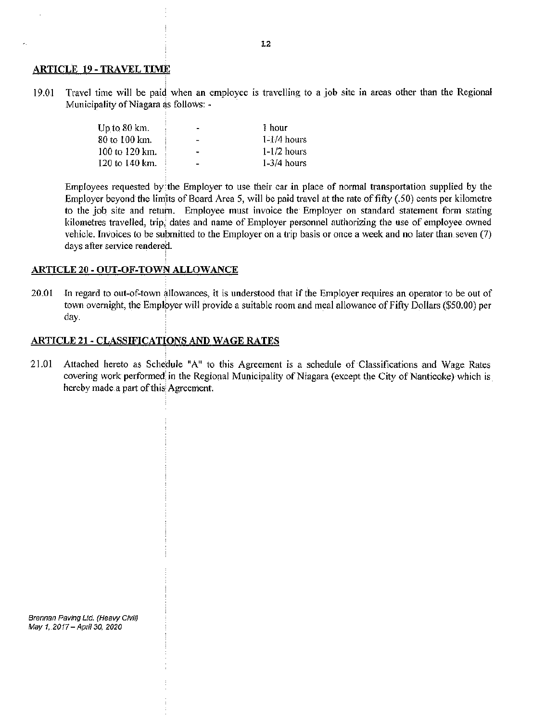#### ARTICLE 19 -TRAVEL TIME

19.01 Travel time will be paid when an employee is travelling to a job site in areas other than the Regional Municipality of Niagara as follows: -

| Up to $80 \text{ km}$ . | $\blacksquare$ | 1 hour        |
|-------------------------|----------------|---------------|
| 80 to 100 km.           | -              | $1-1/4$ hours |
| 100 to 120 km.          |                | $1-1/2$ hours |
| 120 to 140 km.          | -              | $1-3/4$ hours |

Employees requested by 'the Employer to use their car in place of normal transportation supplied by the Employer beyond the limits of Board Area 5, will be paid travel at the rate of fifty (.50) cents per kilometre to the job site and return. Employee must invoice the Employer on standard statement form stating kilometres travelled, trip, dates and name of Employer personnel authorizing the use of employee owned vehicle. Invoices to be submitted to the Employer on a trip basis or once a week and no later than seven (7) days after service rendered.

## ARTICLE 20- OUT-OF-TOWN ALLOWANCE

20.01 In regard to out-of-town allowances, it is understood that if the Employer requires an operator to be out of town overnight, the Employer will provide a suitable room and meal allowance of Fifty Dollars (\$50.00) per day.

## ARTICLE 21- CLASSIFICATIONS AND WAGE RATES

21.01 Attached hereto as Schedule "A" to this Agreement is a schedule of Classifications and Wage Rates covering work perfonned;in the Regional Municipality of Niagara (except the City of Nanticoke) which is hereby made a part of this Agreement.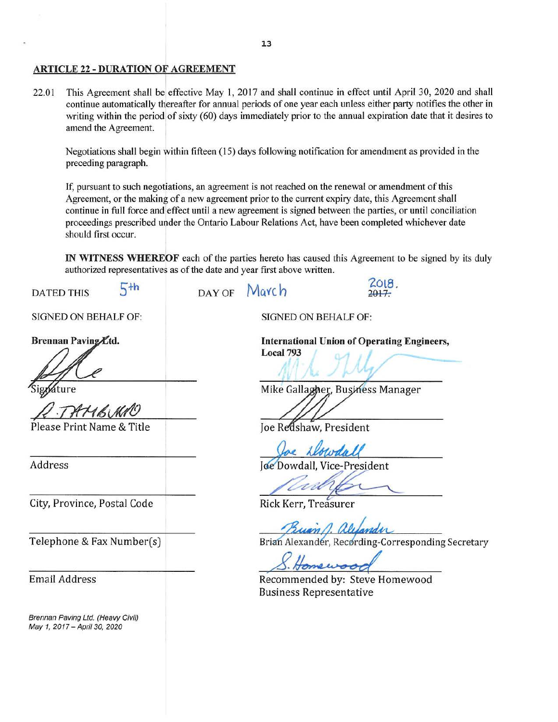### ARTICLE 22 - DURATION OF AGREEMENT

22.01 This Agreement shall be effective May 1, 2017 and shall continue in effect until April 30, 2020 and shall continue automatically thereafter for annual periods of one year each unless either party notifies the other in writing within the period of sixty (60) days immediately prior to the annual expiration date that it desires to amend the Agreement.

Negotiations shall begin within fifteen (15) days following notification for amendment as provided in the preceding paragraph.

If, pursuant to such negotiations, an agreement is not reached on the renewal or amendment of this Agreement, or the making of a new agreement prior to the current expiry date, this Agreement shall continue in full force and effect until a new agreement is signed between the parties, or until conciliation proceedings prescribed under the Ontario Labour Relations Act, have been completed whichever date should first occur.

IN WITNESS WHEREOF each of the parties hereto has caused this Agreement to be signed by its duly authorized representatives as of the date and year first above written.

 $_{\text{DAYOF}}$   $_{\text{Maych}}$   $_{\text{2017}}$ DATED THIS  $5<sup>th</sup>$ SfGNED ON BEHALF OF: SIGNED ON BEHALF OF: Brennan Paving Etd. International Union of Operating Engineers, Local 793 Ature Mike Gallagher, Business Manager Please Print Name & Title e Redshaw, President<br>
Joe Kløwdall<br>
e Dowdall, Vice-President<br>
Ck Kerr, Treasurer Joe Dowdall, Vice-President Address City, Province, Postal Code Buann. Brian Alexander, Recording-Corresponding Secretary Telephone & Fax Number(s) Email Address Recommended by: Steve Homewood Business Representative Brennan Paving Ltd. (Heavy Civil) May 1, 2017-April 30, 2020

13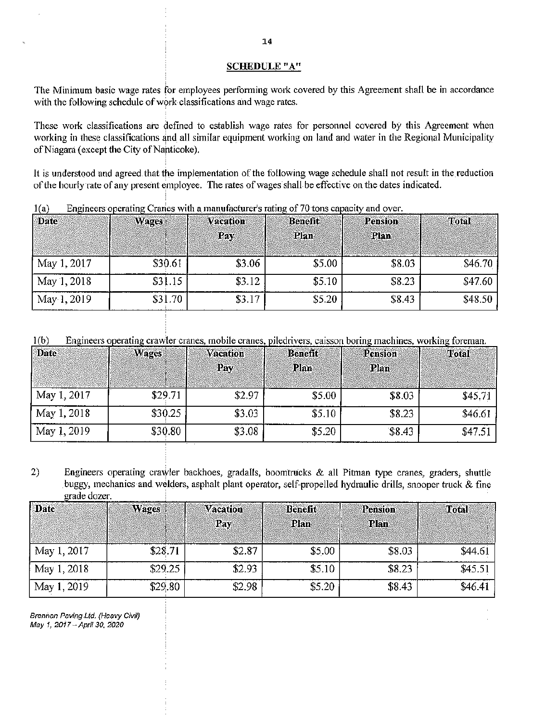#### **SCHEDULE** "A"

The Minimum basic wage rates for employees performing work covered by this Agreement shall be in accordance with the following schedule of work classifications and wage rates.

These work classifications are defined to establish wage rates for personnel covered by this Agreement when working in these classifications and all similar equipment working on land and water in the Regional Municipality of Niagara (except the City of Nanticoke).

It is understood and agreed that the implementation of the following wage schedule shall not result in the reduction of the hourly rate of any present employee. The rates of wages shall be effective on the dates indicated.

| * 1 * /     |              |                 |                |         |              |
|-------------|--------------|-----------------|----------------|---------|--------------|
| Date        | <b>Wages</b> | <b>Vacation</b> | <b>Benefit</b> | Pension | <b>Total</b> |
|             |              | Pay             | Plan           | Plan    |              |
|             |              |                 |                |         |              |
| May 1, 2017 | \$30.61      | \$3.06          | \$5.00         | \$8.03  | \$46.70      |
| May 1, 2018 | \$31.15      | \$3.12          | \$5.10         | \$8.23  | \$47.60      |
| May 1, 2019 | \$31.70      | \$3.17          | \$5.20         | \$8.43  | \$48.50      |

Engineers operating Cranes with a manufacturer's rating of 70 tons capacity and over.  $1(a)$ 

 $1(b)$ Engineers operating crawler cranes, mobile cranes, piledrivers, caisson boring machines, working foreman.

| Date        | <b>Wages</b> | <b>Vacation</b><br>Pay | <b>Benefit</b><br><b>Plan</b> | <b>Pension</b><br>Plan | Total   |
|-------------|--------------|------------------------|-------------------------------|------------------------|---------|
| May 1, 2017 | \$29.71      | \$2.97                 | \$5.00                        | \$8.03                 | \$45.71 |
| May 1, 2018 | \$30.25      | \$3.03                 | \$5.10                        | \$8.23                 | \$46.61 |
| May 1, 2019 | \$30.80      | \$3.08                 | \$5.20                        | \$8.43                 | \$47.51 |

2) Engineers operating crawler backhoes, gradalls, boomtrucks & all Pitman type cranes, graders, shuttle buggy, mechanics and welders, asphalt plant operator, self-propelled hydraulic drills, snooper truck & fine rade dozer.

| <b>Date</b> | <b>Wages</b> | <b>Vacation</b><br>Pay | <b>Benefit</b><br>Plan | Pension<br>Plan | Total   |
|-------------|--------------|------------------------|------------------------|-----------------|---------|
| May 1, 2017 | \$28.71      | \$2.87                 | \$5.00                 | \$8.03          | \$44.61 |
| May 1, 2018 | \$29.25      | \$2.93                 | \$5.10                 | \$8.23          | \$45.51 |
| May 1, 2019 | \$29.80      | \$2.98                 | \$5.20                 | \$8.43          | \$46.41 |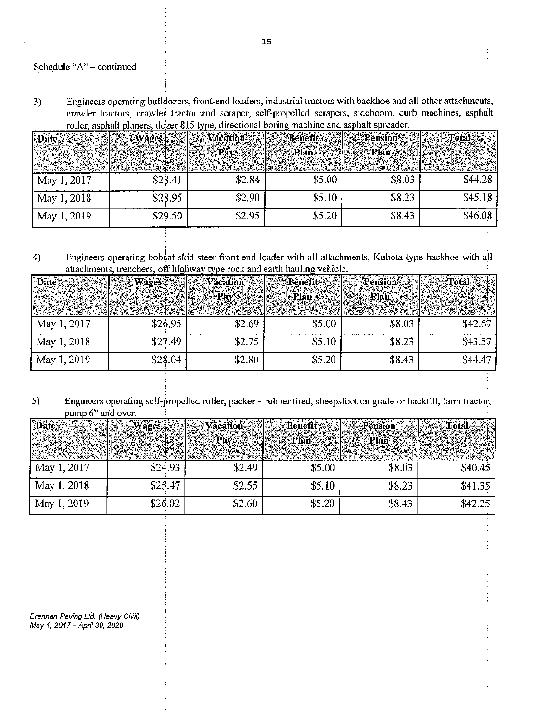Schedule "A" - continued

Engineers operating buildozers, front-end loaders, industrial tractors with backhoe and all other attachments, 3) crawler tractors, crawler tractor and scraper, self-propelled scrapers, sideboom, curb machines, asphalt roller, asphalt planers, dozer 815 type, directional boring machine and asphalt spreader.

| <b>Date</b> | Wages   | <b>Vacation</b> | Benefit | Pension | Total   |
|-------------|---------|-----------------|---------|---------|---------|
|             |         | Pay             | Plan    | Plan    |         |
| May 1, 2017 | \$28.41 | \$2.84          | \$5.00  | \$8.03  | \$44.28 |
| May 1, 2018 | \$28.95 | \$2,90          | \$5.10  | \$8.23  | \$45.18 |
| May 1, 2019 | \$29.50 | \$2.95          | \$5.20  | \$8.43  | \$46.08 |

4) Engineers operating bobeat skid steer front-end loader with all attachments, Kubota type backhoe with all attachments, trenchers, off highway type rock and earth hauling vehicle.

| Date        | <b>Wages</b> | <b>Vacation</b> | <b>Benefit</b> | Pension | Total   |
|-------------|--------------|-----------------|----------------|---------|---------|
|             |              | Pay             | <b>Plan</b>    | Plan    |         |
| May 1, 2017 | \$26.95      | \$2.69          | \$5.00         | \$8.03  | \$42.67 |
| May 1, 2018 | \$27.49      | \$2.75          | \$5.10         | \$8.23  | \$43.57 |
| May 1, 2019 | \$28.04      | \$2.80          | \$5,20         | \$8.43  | \$44.47 |

5) Engineers operating self-propelled roller, packer - rubber tired, sheepsfoot on grade or backfill, farm tractor, pump 6" and over.

| <b>Date</b> | Wages   | <b>Vacation</b><br>Pav | <b>Benefit</b><br>Plan | Pension<br>Plan | Total   |
|-------------|---------|------------------------|------------------------|-----------------|---------|
|             |         |                        |                        |                 |         |
| May 1, 2017 | \$24.93 | \$2.49                 | \$5.00                 | \$8.03          | \$40.45 |
| May 1, 2018 | \$25.47 | \$2.55                 | \$5.10                 | \$8.23          | \$41.35 |
| May 1, 2019 | \$26.02 | \$2.60                 | \$5.20                 | \$8.43          | \$42.25 |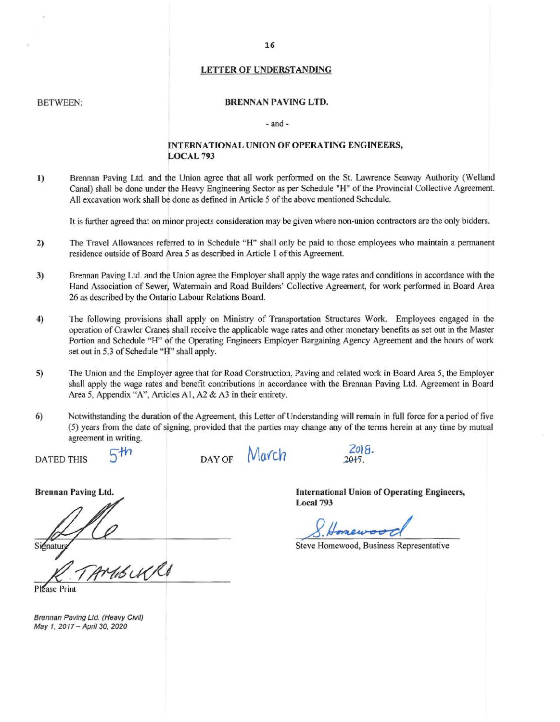#### LETTER OF UNDERSTANDING

#### BETWEEN:

#### BRENNAN PAVING LTD.

#### - and -

#### lNTERNATIONAL UNION OF OPERATING ENGINEERS, LOCAL793

1) Brennan Paving Ltd. and the Union agree that all work performed on the St. Lawrence Seaway Authority (Welland Canal) shall be done under the Heavy Engineering Sector as per Schedule "H" of the Provincial Collective Agreement. All excavation work shall be done as defined in Article *5* of the above mentioned Schedule.

It is further agreed that on minor projects consideration may be given where non-union contractors are the only bidders.

- 2) The Travel Allowances referred to in Schedule "H" shall only be paid to those employees who maintain a permanent residence outside of Board Area 5 as described in Article l of this Agreement.
- 3) Brennan Paving Ltd. and the Union agree the Employer shall apply the wage rates and conditions in accordance with the Hand Association of Sewer, Watermain and Road Builders' Collective Agreement, for work performed in Board Area 26 as described by the Ontario Labour Relations Board.
- 4) The following provisions shall apply on Ministry of Transportation Structures Work. Employees engaged in the operation of Crawler Cranes shall receive the applicable wage rates and other monetary benefits as set out in the Master Portion and Schedule "H" of the Operating Engineers Employer Bargaining Agency Agreement and the hours of work set out in 5.3 of Schedule "H'' shall apply.
- 5) The Union and the Employer agree that for Road Construction, Paving and related work in Board Area 5, the Employer shall apply the wage rates and benefit contributions in accordance with the Brennan Paving Ltd. Agreement in Board Area 5, Appendix "A", Articles A1, A2 & A3 in their entirety.
- 6) Notwithstanding the duration of the Agreement, this Letter of Understanding will remain in full force for a period of five (5) years from the date of signing, provided that the parties may change any of the terms herein at any time by mutual agreement in writing.

DATED THIS

Brennan Paving Ltd.

 $5th$ 

DAY OF **March** 

International Union of Operating Engineers, Local 793

forewoo

Steve Homewood, Business Representative

Please Print

Signatur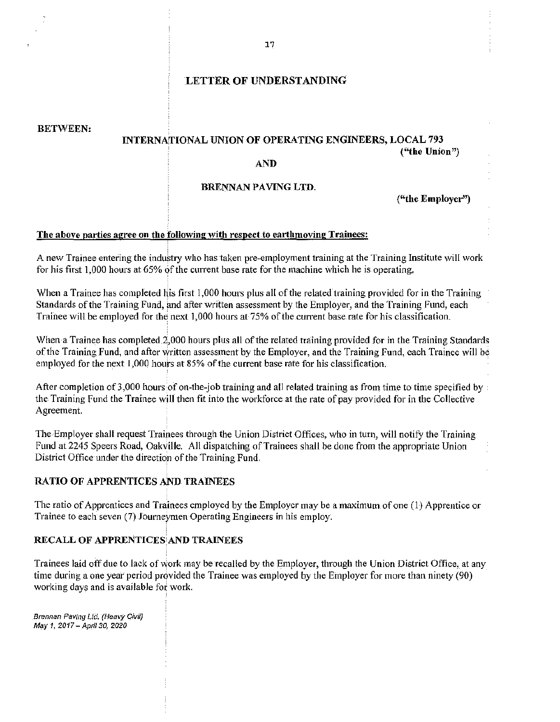## LETTER OF UNDERSTANDING

BETWEEN'

# INTERNATIONAL UNION OF OPERATING ENGINEERS, LOCAL 793 (''the Union")

### AND

## BRENNAN PAVING LTD.

("the Employer")

### The above parties agree on the following with respect to earthmoving Trainees:

A new Trainee entering the industry who has taken pre-employment training at the Training Institute will work for his first  $1,000$  hours at  $65\%$  of the current base rate for the machine which he is operating.

When a Trainee has completed his first 1,000 hours plus all of the related training provided for in the Training Standards of the Training Fund, and after written assessment by the Employer, and the Training Fund, each Trainee will be employed for the next 1,000 hours at 75% of the current base rate for his classification.

When a Trainee has completed 2,000 hours plus all of the related training provided for in the Training Standards of the Training Fund, and after written assessinent by the Employer, and the Training Fund, each Trainee will be employed for the next 1,000 hours at 85% of the current base rate for his classification.

After completion of 3,000 hours of on-the-job training and all related training as from time to time specified by: the Training Fund the Trainee will then fit into the workforce at the rate of pay provided for in the Collective Agreement.

The Employer shall request Trainees through the Union District Offices, who in turn, will notify the Training Fund at 2245 Speers Road, Oakville. All dispatching of Trainees shall be done from the appropriate Union District Office under the direction of the Training Fund.

# RATIO OF APPRENTICES AND TRAINEES

The ratio of Apprentices and Trainees employed by the Employer may be a maximum of one (1) Apprentice or 'frainee to each seven (7) Journeymen Operating Engineers in his employ.

# RECALL OF APPRENTICES AND TRAINEES

Trainees laid off due to lack of work may be recalled by the Employer, through the Union District Office, at any time during a one year period provided the Trainee was employed by the Employer for more than ninety (90) working days and is available fot work.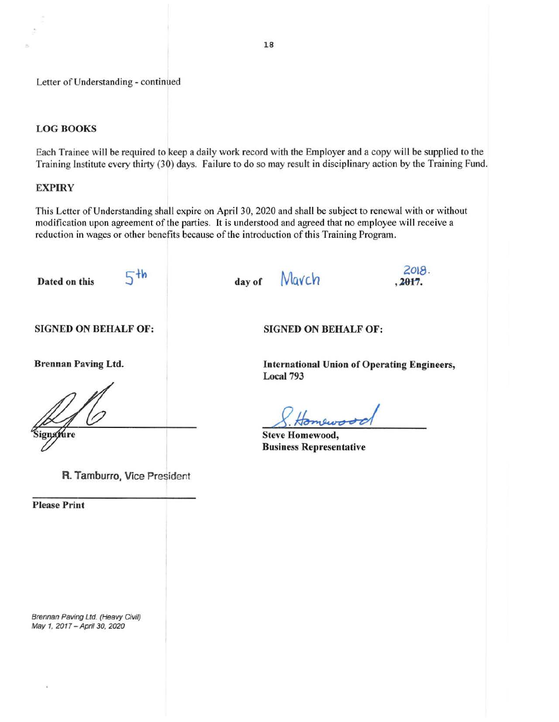# LOG BOOKS

Each Trainee will be required to keep a daily work record with the Employer and a copy will be supplied to the Training Institute every thirty (30) days. Failure to do so may result in disciplinary action by the Training Fund.

# **EXPIRY**

This Letter of Understanding shall expire on April 30, 2020 and shall be subject to renewal with or without modification upon agreement of the parties. It is understood and agreed that no employee will receive a reduction in wages or other benefits because of the introduction of this Training Program.

Dated on this

 $5<sup>th</sup>$ 

day of Mavch

 $2018.$ ,  $2017.$ 

SIGNED ON BEHALF OF:

Brennan Paving Ltd.

ignature

R. Tamburro, Vice President

Please Print

 $\langle \zeta \rangle$ 

Brennan Paving Ltd. (Heavy Civil) May 1, 2017 - April 30, 2020

SIGNED ON BEHALF OF:

International Union of Operating Engineers, Local 793

tomewood

Steve Homewood, Business Representative